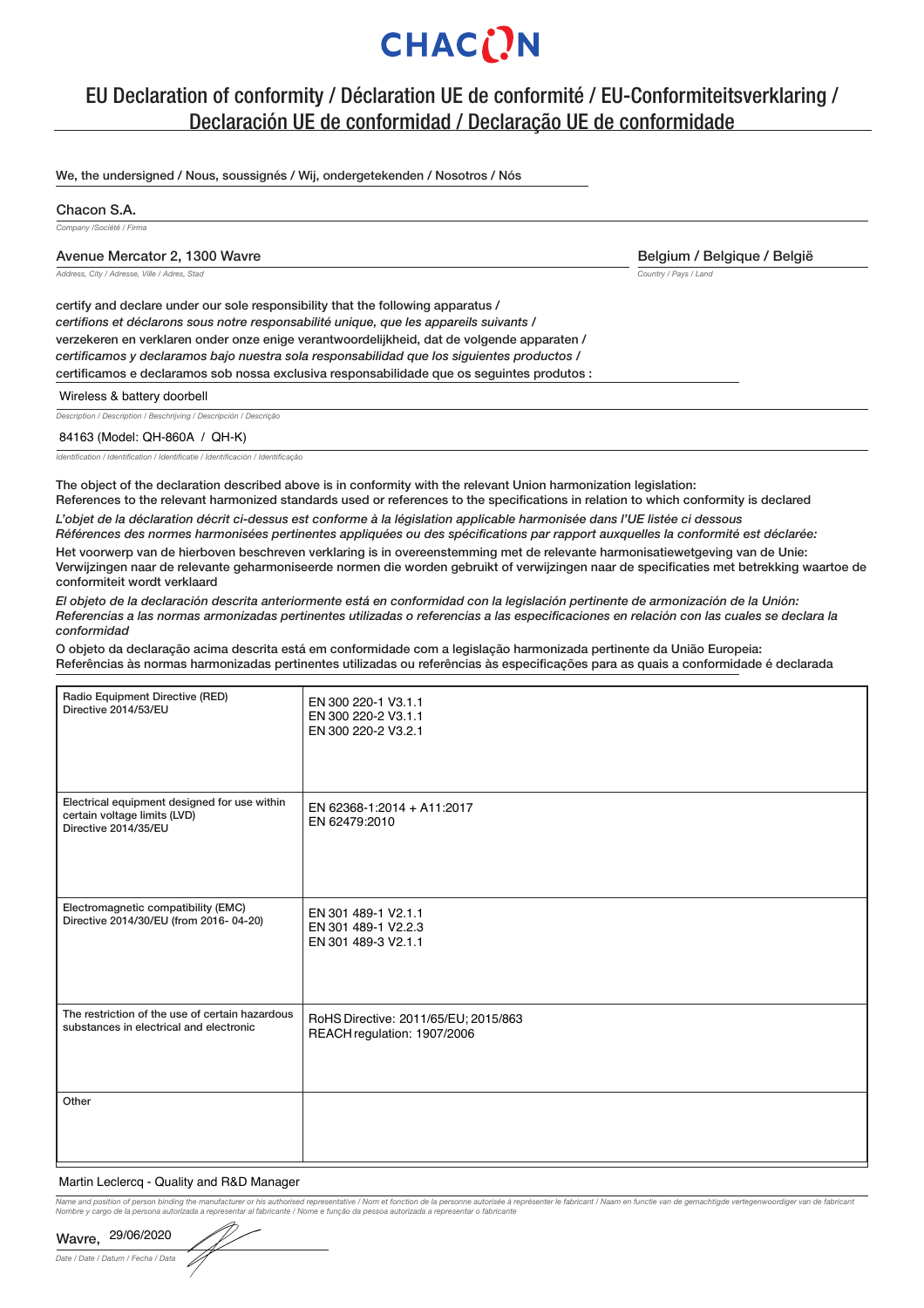# **CHACON**

### EU Declaration of conformity / Déclaration UE de conformité / EU-Conformiteitsverklaring / Declaración UE de conformidad / Declaração UE de conformidade

We, the undersigned / Nous, soussignés / Wij, ondergetekenden / Nosotros / Nós

Chacon S.A.

*Company /Société / Firma*

#### Avenue Mercator 2, 1300 Wavre **Belgium / Belgium / Belgique / België**

*Address, City / Adresse, Ville / Adres, Stad Country / Pays / Land*

certify and declare under our sole responsibility that the following apparatus / *certi*!*ons et déclarons sous notre responsabilité unique, que les appareils suivants /*  verzekeren en verklaren onder onze enige verantwoordelijkheid, dat de volgende apparaten / *certi*!*camos y declaramos bajo nuestra sola responsabilidad que los siguientes productos /* certificamos e declaramos sob nossa exclusiva responsabilidade que os seguintes produtos :

#### Wireless & battery doorbell

*Description / Description / Beschrijving / Descripción / Descrição*

#### 84163 (Model: QH-860A / QH-K)

*Identi*!*cation / Identi*!*cation / Identi*!*catie / Identi*!*cación / Identi*!*cação*

The object of the declaration described above is in conformity with the relevant Union harmonization legislation:

References to the relevant harmonized standards used or references to the specifications in relation to which conformity is declared *L'objet de la déclaration décrit ci-dessus est conforme à la législation applicable harmonisée dans l'UE listée ci dessous* 

Références des normes harmonisées pertinentes appliquées ou des spécifications par rapport auxquelles la conformité est déclarée: Het voorwerp van de hierboven beschreven verklaring is in overeenstemming met de relevante harmonisatiewetgeving van de Unie: Verwijzingen naar de relevante geharmoniseerde normen die worden gebruikt of verwijzingen naar de specificaties met betrekking waartoe de conformiteit wordt verklaard

*El objeto de la declaración descrita anteriormente está en conformidad con la legislación pertinente de armonización de la Unión:* Referencias a las normas armonizadas pertinentes utilizadas o referencias a las especificaciones en relación con las cuales se declara la *conformidad* 

O objeto da declaração acima descrita está em conformidade com a legislação harmonizada pertinente da União Europeia: Referências às normas harmonizadas pertinentes utilizadas ou referências às especificações para as quais a conformidade é declarada

| Radio Equipment Directive (RED)<br>Directive 2014/53/EU                                              | EN 300 220-1 V3.1.1<br>EN 300 220-2 V3.1.1<br>EN 300 220-2 V3.2.1   |
|------------------------------------------------------------------------------------------------------|---------------------------------------------------------------------|
| Electrical equipment designed for use within<br>certain voltage limits (LVD)<br>Directive 2014/35/EU | EN 62368-1:2014 + A11:2017<br>EN 62479:2010                         |
| Electromagnetic compatibility (EMC)<br>Directive 2014/30/EU (from 2016- 04-20)                       | EN 301 489-1 V2.1.1<br>EN 301 489-1 V2.2.3<br>EN 301 489-3 V2.1.1   |
| The restriction of the use of certain hazardous<br>substances in electrical and electronic           | RoHS Directive: 2011/65/EU; 2015/863<br>REACH regulation: 1907/2006 |
| Other                                                                                                |                                                                     |

#### Martin Leclercq - Quality and R&D Manager

Name and position of person binding the manufacturer or his authorised representative / Nom et fonction de la personne autorisée à représenter le fabricant / Naam en functie van de gemachtigde vertegenwoordiger van de fabr

Wavre, 29/06/2020